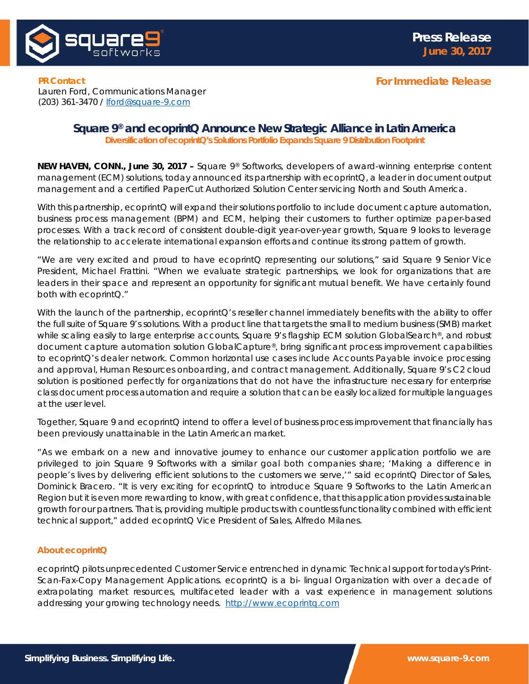

**For Immediate Release**

**PR Contact** Lauren Ford, Communications Manager (203) 361-3470 / [lford@square-9.com](mailto:lford@square-9.com)

## **Square 9® and ecoprintQ Announce New Strategic Alliance in Latin America**

*Diversification of ecoprintQ's Solutions Portfolio Expands Square 9 Distribution Footprint*

**NEW HAVEN, CONN., June 30, 2017 –** Square 9® Softworks, developers of award-winning enterprise content management (ECM) solutions, today announced its partnership with ecoprintQ, a leader in document output management and a certified PaperCut Authorized Solution Center servicing North and South America.

With this partnership, ecoprintQ will expand their solutions portfolio to include document capture automation, business process management (BPM) and ECM, helping their customers to further optimize paper-based processes. With a track record of consistent double-digit year-over-year growth, Square 9 looks to leverage the relationship to accelerate international expansion efforts and continue its strong pattern of growth.

"We are very excited and proud to have ecoprintQ representing our solutions," said Square 9 Senior Vice President, Michael Frattini. "When we evaluate strategic partnerships, we look for organizations that are leaders in their space and represent an opportunity for significant mutual benefit. We have certainly found both with ecoprintQ."

With the launch of the partnership, ecoprintQ's reseller channel immediately benefits with the ability to offer the full suite of Square 9's solutions. With a product line that targets the small to medium business (SMB) market while scaling easily to large enterprise accounts, Square 9's flagship ECM solution GlobalSearch®, and robust document capture automation solution GlobalCapture®, bring significant process improvement capabilities to ecoprintQ's dealer network. Common horizontal use cases include Accounts Payable invoice processing and approval, Human Resources onboarding, and contract management. Additionally, Square 9's C2 cloud solution is positioned perfectly for organizations that do not have the infrastructure necessary for enterprise class document process automation and require a solution that can be easily localized for multiple languages at the user level.

Together, Square 9 and ecoprintQ intend to offer a level of business process improvement that financially has been previously unattainable in the Latin American market.

"As we embark on a new and innovative journey to enhance our customer application portfolio we are privileged to join Square 9 Softworks with a similar goal both companies share; 'Making a difference in people's lives by delivering efficient solutions to the customers we serve,'" said ecoprintQ Director of Sales, Dominick Bracero. "It is very exciting for ecoprintQ to introduce Square 9 Softworks to the Latin American Region but it is even more rewarding to know, with great confidence, that this application provides sustainable growth for our partners. That is, providing multiple products with countless functionality combined with efficient technical support," added ecoprintQ Vice President of Sales, Alfredo Milanes.

## **About ecoprintQ**

ecoprintQ pilots unprecedented Customer Service entrenched in dynamic Technical support for today's Print-Scan-Fax-Copy Management Applications. ecoprintQ is a bi- lingual Organization with over a decade of extrapolating market resources, multifaceted leader with a vast experience in management solutions addressing your growing technology needs. [http://www.ecoprintq.com](http://www.ecoprintq.com/)